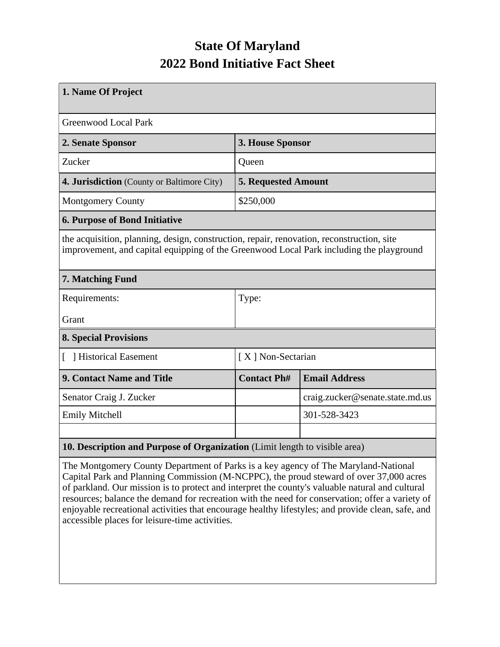## **State Of Maryland 2022 Bond Initiative Fact Sheet**

| 1. Name Of Project                                                                                                                                                                   |                            |                                 |  |  |  |
|--------------------------------------------------------------------------------------------------------------------------------------------------------------------------------------|----------------------------|---------------------------------|--|--|--|
| <b>Greenwood Local Park</b>                                                                                                                                                          |                            |                                 |  |  |  |
| 2. Senate Sponsor                                                                                                                                                                    | 3. House Sponsor           |                                 |  |  |  |
| Zucker                                                                                                                                                                               | Queen                      |                                 |  |  |  |
| 4. Jurisdiction (County or Baltimore City)                                                                                                                                           | <b>5. Requested Amount</b> |                                 |  |  |  |
| <b>Montgomery County</b>                                                                                                                                                             | \$250,000                  |                                 |  |  |  |
| <b>6. Purpose of Bond Initiative</b>                                                                                                                                                 |                            |                                 |  |  |  |
| the acquisition, planning, design, construction, repair, renovation, reconstruction, site<br>improvement, and capital equipping of the Greenwood Local Park including the playground |                            |                                 |  |  |  |
| 7. Matching Fund                                                                                                                                                                     |                            |                                 |  |  |  |
| Requirements:                                                                                                                                                                        | Type:                      |                                 |  |  |  |
| Grant                                                                                                                                                                                |                            |                                 |  |  |  |
| <b>8. Special Provisions</b>                                                                                                                                                         |                            |                                 |  |  |  |
| Historical Easement                                                                                                                                                                  | [X] Non-Sectarian          |                                 |  |  |  |
| 9. Contact Name and Title                                                                                                                                                            | <b>Contact Ph#</b>         | <b>Email Address</b>            |  |  |  |
| Senator Craig J. Zucker                                                                                                                                                              |                            | craig.zucker@senate.state.md.us |  |  |  |
| <b>Emily Mitchell</b>                                                                                                                                                                |                            | 301-528-3423                    |  |  |  |
|                                                                                                                                                                                      |                            |                                 |  |  |  |
| 10. Description and Purpose of Organization (Limit length to visible area)                                                                                                           |                            |                                 |  |  |  |

The Montgomery County Department of Parks is a key agency of The Maryland-National Capital Park and Planning Commission (M-NCPPC), the proud steward of over 37,000 acres of parkland. Our mission is to protect and interpret the county's valuable natural and cultural resources; balance the demand for recreation with the need for conservation; offer a variety of enjoyable recreational activities that encourage healthy lifestyles; and provide clean, safe, and accessible places for leisure-time activities.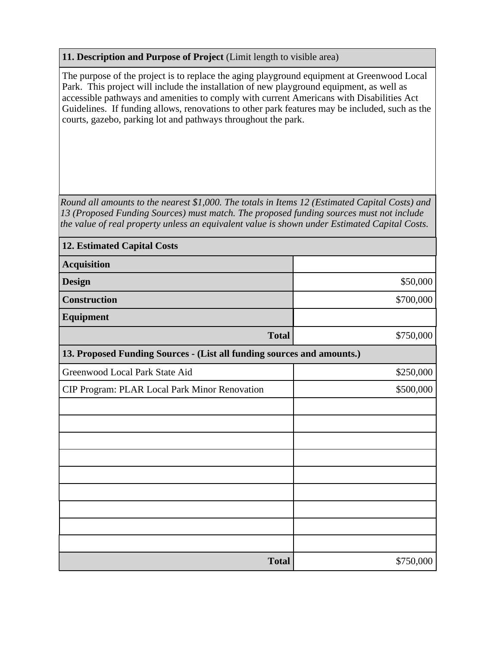## **11. Description and Purpose of Project** (Limit length to visible area)

The purpose of the project is to replace the aging playground equipment at Greenwood Local Park. This project will include the installation of new playground equipment, as well as accessible pathways and amenities to comply with current Americans with Disabilities Act Guidelines. If funding allows, renovations to other park features may be included, such as the courts, gazebo, parking lot and pathways throughout the park.

*Round all amounts to the nearest \$1,000. The totals in Items 12 (Estimated Capital Costs) and 13 (Proposed Funding Sources) must match. The proposed funding sources must not include the value of real property unless an equivalent value is shown under Estimated Capital Costs.*

| <b>12. Estimated Capital Costs</b>                                     |           |  |  |  |
|------------------------------------------------------------------------|-----------|--|--|--|
| <b>Acquisition</b>                                                     |           |  |  |  |
| <b>Design</b>                                                          | \$50,000  |  |  |  |
| <b>Construction</b>                                                    | \$700,000 |  |  |  |
| <b>Equipment</b>                                                       |           |  |  |  |
| <b>Total</b>                                                           | \$750,000 |  |  |  |
| 13. Proposed Funding Sources - (List all funding sources and amounts.) |           |  |  |  |
| Greenwood Local Park State Aid                                         | \$250,000 |  |  |  |
| CIP Program: PLAR Local Park Minor Renovation                          | \$500,000 |  |  |  |
|                                                                        |           |  |  |  |
|                                                                        |           |  |  |  |
|                                                                        |           |  |  |  |
|                                                                        |           |  |  |  |
|                                                                        |           |  |  |  |
|                                                                        |           |  |  |  |
|                                                                        |           |  |  |  |
|                                                                        |           |  |  |  |
|                                                                        |           |  |  |  |
| <b>Total</b>                                                           | \$750,000 |  |  |  |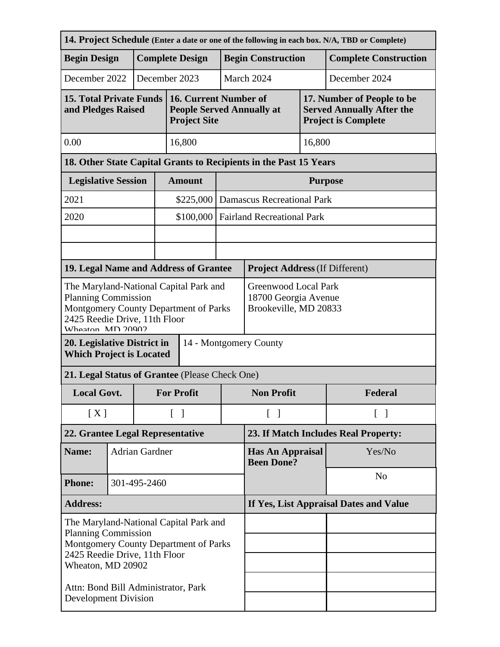| 14. Project Schedule (Enter a date or one of the following in each box. N/A, TBD or Complete)                                                                       |              |                        |                                                                              |                                                                                  |                   |                                              |         |                                                                                              |  |
|---------------------------------------------------------------------------------------------------------------------------------------------------------------------|--------------|------------------------|------------------------------------------------------------------------------|----------------------------------------------------------------------------------|-------------------|----------------------------------------------|---------|----------------------------------------------------------------------------------------------|--|
| <b>Begin Design</b>                                                                                                                                                 |              | <b>Complete Design</b> |                                                                              |                                                                                  |                   | <b>Begin Construction</b>                    |         | <b>Complete Construction</b>                                                                 |  |
| December 2022                                                                                                                                                       |              |                        | December 2023                                                                |                                                                                  |                   | March 2024<br>December 2024                  |         |                                                                                              |  |
| <b>15. Total Private Funds</b><br>and Pledges Raised                                                                                                                |              |                        |                                                                              | 16. Current Number of<br><b>People Served Annually at</b><br><b>Project Site</b> |                   |                                              |         | 17. Number of People to be<br><b>Served Annually After the</b><br><b>Project is Complete</b> |  |
| 0.00                                                                                                                                                                |              |                        |                                                                              | 16,800                                                                           |                   |                                              | 16,800  |                                                                                              |  |
| 18. Other State Capital Grants to Recipients in the Past 15 Years                                                                                                   |              |                        |                                                                              |                                                                                  |                   |                                              |         |                                                                                              |  |
| <b>Legislative Session</b>                                                                                                                                          |              |                        | <b>Amount</b>                                                                |                                                                                  | <b>Purpose</b>    |                                              |         |                                                                                              |  |
| 2021                                                                                                                                                                |              |                        |                                                                              | \$225,000                                                                        |                   | <b>Damascus Recreational Park</b>            |         |                                                                                              |  |
| 2020                                                                                                                                                                |              |                        |                                                                              | \$100,000                                                                        |                   | <b>Fairland Recreational Park</b>            |         |                                                                                              |  |
|                                                                                                                                                                     |              |                        |                                                                              |                                                                                  |                   |                                              |         |                                                                                              |  |
|                                                                                                                                                                     |              |                        |                                                                              |                                                                                  |                   |                                              |         |                                                                                              |  |
| 19. Legal Name and Address of Grantee                                                                                                                               |              |                        |                                                                              |                                                                                  |                   | <b>Project Address (If Different)</b>        |         |                                                                                              |  |
| The Maryland-National Capital Park and<br><b>Planning Commission</b><br>Montgomery County Department of Parks<br>2425 Reedie Drive, 11th Floor<br>Wheaton MD 20002  |              |                        | <b>Greenwood Local Park</b><br>18700 Georgia Avenue<br>Brookeville, MD 20833 |                                                                                  |                   |                                              |         |                                                                                              |  |
| 14 - Montgomery County<br>20. Legislative District in<br><b>Which Project is Located</b>                                                                            |              |                        |                                                                              |                                                                                  |                   |                                              |         |                                                                                              |  |
| 21. Legal Status of Grantee (Please Check One)                                                                                                                      |              |                        |                                                                              |                                                                                  |                   |                                              |         |                                                                                              |  |
| <b>Local Govt.</b>                                                                                                                                                  |              |                        | <b>For Profit</b>                                                            |                                                                                  | <b>Non Profit</b> |                                              | Federal |                                                                                              |  |
| [X]                                                                                                                                                                 |              |                        | $\lceil \; \rceil$                                                           |                                                                                  | $\lceil \ \rceil$ | $\lceil \; \rceil$                           |         |                                                                                              |  |
| 22. Grantee Legal Representative                                                                                                                                    |              |                        | 23. If Match Includes Real Property:                                         |                                                                                  |                   |                                              |         |                                                                                              |  |
| Name:                                                                                                                                                               |              | <b>Adrian Gardner</b>  |                                                                              |                                                                                  |                   | <b>Has An Appraisal</b><br><b>Been Done?</b> |         | Yes/No                                                                                       |  |
| <b>Phone:</b>                                                                                                                                                       | 301-495-2460 |                        |                                                                              |                                                                                  |                   |                                              |         | N <sub>o</sub>                                                                               |  |
| <b>Address:</b>                                                                                                                                                     |              |                        | If Yes, List Appraisal Dates and Value                                       |                                                                                  |                   |                                              |         |                                                                                              |  |
| The Maryland-National Capital Park and<br><b>Planning Commission</b><br>Montgomery County Department of Parks<br>2425 Reedie Drive, 11th Floor<br>Wheaton, MD 20902 |              |                        |                                                                              |                                                                                  |                   |                                              |         |                                                                                              |  |
| Attn: Bond Bill Administrator, Park<br><b>Development Division</b>                                                                                                  |              |                        |                                                                              |                                                                                  |                   |                                              |         |                                                                                              |  |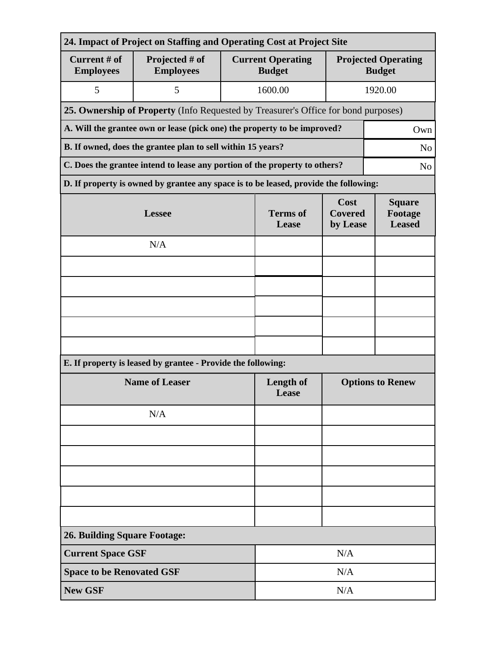| 24. Impact of Project on Staffing and Operating Cost at Project Site                         |                                                                                      |                          |                                           |                                             |  |  |  |
|----------------------------------------------------------------------------------------------|--------------------------------------------------------------------------------------|--------------------------|-------------------------------------------|---------------------------------------------|--|--|--|
| Current # of<br><b>Employees</b>                                                             | Projected # of<br><b>Employees</b>                                                   |                          | <b>Current Operating</b><br><b>Budget</b> | <b>Projected Operating</b><br><b>Budget</b> |  |  |  |
| 5                                                                                            | 5                                                                                    |                          | 1600.00                                   | 1920.00                                     |  |  |  |
| 25. Ownership of Property (Info Requested by Treasurer's Office for bond purposes)           |                                                                                      |                          |                                           |                                             |  |  |  |
| A. Will the grantee own or lease (pick one) the property to be improved?<br>Own              |                                                                                      |                          |                                           |                                             |  |  |  |
| B. If owned, does the grantee plan to sell within 15 years?<br>N <sub>o</sub>                |                                                                                      |                          |                                           |                                             |  |  |  |
| C. Does the grantee intend to lease any portion of the property to others?<br>N <sub>o</sub> |                                                                                      |                          |                                           |                                             |  |  |  |
|                                                                                              | D. If property is owned by grantee any space is to be leased, provide the following: |                          |                                           |                                             |  |  |  |
|                                                                                              | <b>Lessee</b>                                                                        | <b>Terms</b> of<br>Lease | Cost<br><b>Covered</b><br>by Lease        | <b>Square</b><br>Footage<br><b>Leased</b>   |  |  |  |
|                                                                                              | N/A                                                                                  |                          |                                           |                                             |  |  |  |
|                                                                                              |                                                                                      |                          |                                           |                                             |  |  |  |
|                                                                                              |                                                                                      |                          |                                           |                                             |  |  |  |
|                                                                                              |                                                                                      |                          |                                           |                                             |  |  |  |
|                                                                                              |                                                                                      |                          |                                           |                                             |  |  |  |
|                                                                                              |                                                                                      |                          |                                           |                                             |  |  |  |
|                                                                                              | E. If property is leased by grantee - Provide the following:                         |                          |                                           |                                             |  |  |  |
| <b>Name of Leaser</b>                                                                        |                                                                                      |                          | Length of<br>Lease                        | <b>Options to Renew</b>                     |  |  |  |
|                                                                                              | N/A                                                                                  |                          |                                           |                                             |  |  |  |
|                                                                                              |                                                                                      |                          |                                           |                                             |  |  |  |
|                                                                                              |                                                                                      |                          |                                           |                                             |  |  |  |
|                                                                                              |                                                                                      |                          |                                           |                                             |  |  |  |
|                                                                                              |                                                                                      |                          |                                           |                                             |  |  |  |
|                                                                                              |                                                                                      |                          |                                           |                                             |  |  |  |
| <b>26. Building Square Footage:</b>                                                          |                                                                                      |                          |                                           |                                             |  |  |  |
| <b>Current Space GSF</b>                                                                     |                                                                                      | N/A                      |                                           |                                             |  |  |  |
| <b>Space to be Renovated GSF</b>                                                             |                                                                                      | N/A                      |                                           |                                             |  |  |  |
| <b>New GSF</b>                                                                               |                                                                                      |                          | N/A                                       |                                             |  |  |  |